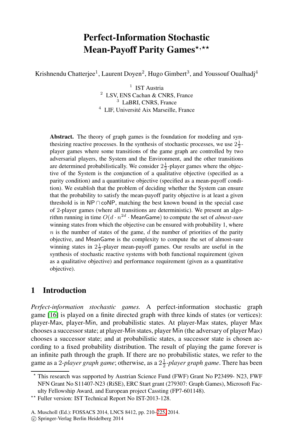# **Perfect-Information Stochastic** Mean-Payoff Parity Games\*,\*\*

Krishnendu Chatterjee<sup>1</sup>, Laurent Doyen<sup>2</sup>, Hugo Gimbert<sup>3</sup>, and Youssouf Oualhadj<sup>4</sup>

<sup>1</sup> IST Austria  $2$  LSV, ENS Cachan & CNRS, France <sup>3</sup> LaBRI, CNRS, France <sup>4</sup> LIF. Université Aix Marseille, France

**Abstract.** The theory of graph games is the foundation for modeling and synthesizing reactive processes. In the synthesis of stochastic processes, we use  $2\frac{1}{2}$ player games where some transitions of the game graph are controlled by two adversarial players, the System and the Environment, and the other transitions are determined probabilistically. We consider  $2\frac{1}{2}$ -player games where the objective of the System is the conjunction of a qualitative objective (specified as a parity condition) and a quantitative objective (specified as a mean-payoff condition). We establish that the problem of deciding whether the System can ensure that the probability to satisfy the mean-payoff parity objective is at least a given threshold is in NP  $\cap$  coNP, matching the best known bound in the special case of 2-player games (where all transitions are deterministic). We present an algorithm running in time  $O(d \cdot n^{2d} \cdot \text{MeanGame})$  to compute the set of *almost-sure* winning states from which the objective can be ensured with probability 1, where *n* is the number of states of the game, *d* the number of priorities of the parity objective, and MeanGame is the complexity to compute the set of almost-sure winning states in  $2\frac{1}{2}$ -player mean-payoff games. Our results are useful in the synthesis of stochastic reactive systems with both functional requirement (given as a qualitative objective) and performance requirement (given as a quantitative objective).

### **1 Introduction**

*Perfect-information stochastic games.* A perfect-information stochastic graph game [16] is played on a finite directed graph with three kinds of states (or vertices): player-Max, player-Min, and probabilistic states. At player-Max states, player Max chooses a successor state; at player-Min states, player Min (the adversary of player Max) chooses a successor state; and at probabilistic states, a successor state is chosen according to a fixed probabil[ity d](#page-15-0)istribution. The result of playing the game forever is an infinite path through the graph. If there are no probabilistic states, we refer to the game as a 2-*player graph game*; otherwise, as a  $2\frac{1}{2}$ -*player graph game*. There has been

<sup>-</sup> This research was supported by Austrian Science Fund (FWF) Grant No P23499- N23, FWF NFN Grant No S11407-N23 (RiSE), ERC Start grant (279307: Graph Games), Microsoft Faculty Fellowship Award, and European project Cassting (FP7-601148). -

<sup>-</sup> Fuller version: IST Technical Report No IST-2013-128.

A. Muscholl (Ed.): FOSSACS 2014, LNCS 8412, pp. 210–225, 2014.

<sup>-</sup>c Springer-Verlag Berlin Heidelberg 2014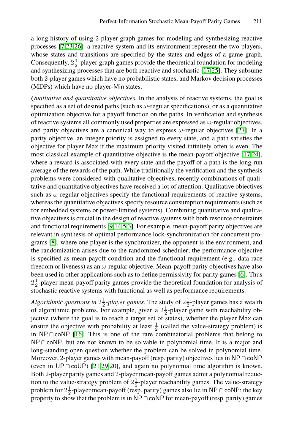a long history of using 2-player graph games for modeling and synthesizing reactive processes [7,23,26]: a reactive system and its environment represent the two players, whose states and transitions are specified by the states and edges of a game graph. Consequently,  $2\frac{1}{2}$ -player graph games provide the theoretical foundation for modeling and synthesizing processes that are both reactive and stoc[hast](#page-15-1)ic [17,25]. They subsume both 2-player games which have no probabilistic states, and Markov decision processes (MDPs) which have no player-Min states.

*Qualitative and quantitative objectives.* In the analysis of r[eac](#page-14-0)[tive](#page-15-2) systems, the goal is specified as a set of desired paths (such as  $\omega$ -regular specifications), or as a quantitative optimization objective for a payoff function on the paths. In verification and synthesis of reactive systems all commonly used properties are expressed as  $\omega$ -regular objectives, and parity objectives are a canonical way to express  $\omega$ -regular objectives [27]. In a parity objective, an integer priority is assigned to every state, and a path satisfies the objective for player Max if the maximum priority visited infinitely often is even. The most classical example of quantitative objective is the mean-payoff objective [17,24], where a r[e](#page-14-1)[war](#page-14-2)[d](#page-14-3) [is](#page-14-4) associated with every state and the payoff of a path is the long-run average of the rewards of the path. While traditionally the verification and the synthesis problems were considered with qualitative objectives, recently combinations of qualitative and quantitative objectives have received a lot of attention. Qualitative objectives such as  $\omega$ -regular objectives specify the functional requirements of reactive systems, whereas the quantitative objectives specify resource consumption requirements (such as for embedded systems or power-limited systems). Combi[nin](#page-14-5)g quantitative and qualitative objectives is crucial in the design of reactive systems with both resource constraints and functional requirements [9,14,5,3]. For example, mean-payoff parity objectives are relevant in synthesis of optimal performance lock-synchronization for concurrent programs [8], where one player is the synchronizer, the opponent is the environment, and the randomization arises due to the randomized scheduler; the performance objective is specified as mean-payoff condition and the functional requirement (e.g., data-race freedom or liveness) as an  $\omega$ -regular objective. Mean-payoff parity objectives have also been used in other applications such as to define permissivity for parity games [6]. Thus  $2\frac{1}{2}$ -player mean-payoff parity games provide the theoretical foundation for analysis of stochastic reactive systems with functional as well as performance requirements.

*Al[gori](#page-15-3)[thm](#page-15-4)[ic q](#page-14-6)uestions in*  $2\frac{1}{2}$ -player games. The study of  $2\frac{1}{2}$ -player games has a wealth of algorithmic problems. For example, given a  $2\frac{1}{2}$ -player game with reachability objective (where the goal is to reach a target set of states), whether the player Max can ensure the objective with probability at least  $\frac{1}{2}$  (called the value-strategy problem) is in NP ∩coNP [16]. This is one of the rare combinatorial problems that belong to NP ∩coNP, but are not known to be solvable in polynomial time. It is a major and long-standing open question whether the problem can be solved in polynomial time. Moreover, 2-player games with mean-payoff (resp. parity) objectives lies in NP∩coNP (even in UP ∩coUP) [21,29,20], and again no polynomial time algorithm is known. Both 2-player parity games and 2-player mean-payoff games admit a polynomial reduction to the value-strategy problem of  $2\frac{1}{2}$ -player reachability games. The value-strategy problem for  $2\frac{1}{2}$ -player mean-payoff (resp. parity) games also lie in NP ∩ coNP: the key property to show that the problem is in NP∩coNP for mean-payoff (resp. parity) games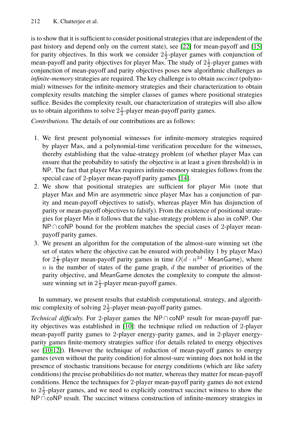is to show that it is sufficient to consider positional strategies (that are independent of the past history and depend only on the current state), see [22] for mean-payoff and [15] for parity objectives. In this work we consider  $2\frac{1}{2}$ -player games with conjunction of mean-payoff and parity objectives for player Max. The study of  $2\frac{1}{2}$ -player games with conjunction of mean-payoff and parity objectives poses new algorithmic challenges as *infinite-memory* strategies are required. The key challenge is to obtain *succinct* (polynomial) witnesses for the infinite-memory strategies and their characterization to obtain complexity results matching the simpler classes of games where positional strategies suffice. Besides the complexity result, our characterization of strategies will also allow us to obtain algorithms to solve  $2\frac{1}{2}$ -player mean-payoff parity games.

*Contributions.* The details of our co[ntrib](#page-14-2)utions are as follows:

- 1. We first present polynomial witnesses for infinite-memory strategies required by player Max, and a polynomial-time verification procedure for the witnesses, thereby establishing that the value-strategy problem (of whether player Max can ensure that the probability to satisfy the objective is at least a given threshold) is in NP. The fact that player Max requires infinite-memory strategies follows from the special case of 2-player mean-payoff parity games [14].
- 2. We show that positional strategies are sufficient for player Min (note that player Max and Min are asymmetric since player Max has a conjunction of parity and mean-payoff objectives to satisfy, whereas player Min has disjunction of parity or mean-payoff objectives to falsify). From the existence of positional strategies for player Min it follows that the value-strategy problem is also in coNP. Our NP ∩coNP bound for the problem matches the special cases of 2-player meanpayoff parity games.
- 3. We present an algorithm for the computation of the almost-sure winning set (the set of states where the objective can be ensured with probability 1 by player Max) for  $2\frac{1}{2}$ -player mean-payoff parity games in time  $O(d \cdot n^{2d} \cdot \text{MeanGame})$ , where  $n$  is the n[umb](#page-14-7)er of states of the game graph, d the number of priorities of the parity objective, and MeanGame denotes the complexity to compute the almostsure winning set in  $2\frac{1}{2}$ -player mean-payoff games.

In summary, we present results that establish computational, strategy, and algorithmic complexity of solving  $2\frac{1}{2}$ -player mean-payoff parity games.

*Technical difficulty.* For 2-player games the NP∩coNP result for mean-payoff parity objectives was established in [10]: the technique relied on reduction of 2-player mean-payoff parity games to 2-player energy-parity games, and in 2-player energyparity games finite-memory strategies suffice (for details related to energy objectives see [10,12]). However the technique of reduction of mean-payoff games to energy games (even without the parity condition) for almost-sure winning does not hold in the presence of stochastic transitions because for energy conditions (which are like safety conditions) the precise probabilities do not matter, whereas they matter for mean-payoff conditions. Hence the techniques for 2-player mean-payoff parity games do not extend to  $2\frac{1}{2}$ -player games, and we need to explicitly construct succinct witness to show the NP ∩coNP result. The succinct witness construction of infinite-memory strategies in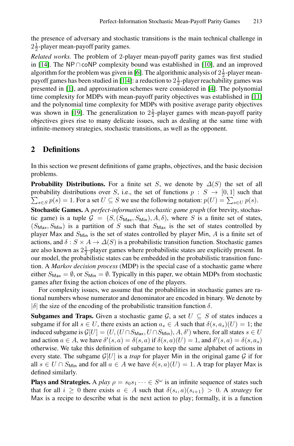the presence of adversary and stochastic transitions is the mai[n](#page-14-9) [tec](#page-14-9)hnical challenge in  $2\frac{1}{2}$ -player mean-payoff parity games.

*Related works.* The problem of 2-player mean-payoff parity games was first studied in [14]. The NP ∩coNP complexity bound was established in [10], and an improved algorithm for the problem was given in [6]. The algorithmic analysis of  $2\frac{1}{2}$ -player meanpayoff games has been studied in [1,4]: a reduction to  $2\frac{1}{2}$ -player reachability games was presented in [1], and approximation schemes were considered in [4]. The polynomial time complexity for MDPs with mean-payoff parity objectives was established in [11] and the polynomial time complexity for MDPs with positive average parity objectives was shown in [19]. The generalization to  $2\frac{1}{2}$ -player games with mean-payoff parity objectives gives rise to many delicate issues, such as dealing at the same time with infinite-memory strategies, stochastic transitions, as well as the opponent.

### **2 Definitions**

In this section we present definitions of game graphs, objectives, and the basic decision problems.

**Probability Distributions.** For a finite set S, we denote by  $\Delta(S)$  the set of all probability distributions over S, i.e., the set of functions  $p : S \rightarrow [0,1]$  such that  $\sum_{s \in S} p(s) = 1$ . For a set  $U \subseteq S$  we use the following notation:  $p(U) = \sum_{s \in U} p(s)$ .

**Stochastic Games.** A *perfect-information stochastic game graph* (for brevity, stochastic game) is a tuple  $\mathcal{G} = (S, (S_{\text{Max}}, S_{\text{Min}}), A, \delta)$ , where S is a finite set of states,  $(S_{\text{Max}}, S_{\text{Min}})$  is a partition of S such that  $S_{\text{Max}}$  is the set of states controlled by player Max and  $S_{\text{Min}}$  is the set of states controlled by player Min, A is a finite set of actions, and  $\delta$  :  $S \times A \rightarrow \Delta(S)$  is a probabilistic transition function. Stochastic games are also known as  $2\frac{1}{2}$ -player games where probabilistic states are explicitly present. In our model, the probabilistic states can be embedded in the probabilistic transition function. A *Markov decision process* (MDP) is the special case of a stochastic game where either  $S_{\text{Max}} = \emptyset$ , or  $S_{\text{Min}} = \emptyset$ . Typically in this paper, we obtain MDPs from stochastic games after fixing the action choices of one of the players.

For complexity issues, we assume that the probabilities in stochastic games are rational numbers whose numerator and denominator are encoded in binary. We denote by  $|\delta|$  the size of the encoding of the probabilistic transition function  $\delta$ .

**Subgames and Traps.** Given a stochastic game G, a set  $U \subseteq S$  of states induces a subgame if for all  $s \in U$ , there exists an action  $a_s \in A$  such that  $\delta(s, a_s)(U) = 1$ ; the induced subgame is  $G[U] = (U, (U \cap S_{\text{Max}}, U \cap S_{\text{Min}}), A, \delta')$  where, for all states  $s \in U$ and action  $a \in A$ , we have  $\delta'(s, a) = \delta(s, a)$  if  $\delta(s, a)(U) = 1$ , and  $\delta'(s, a) = \delta(s, a_s)$ otherwise. We take this definition of subgame to keep the same alphabet of actions in every state. The subgame  $G[U]$  is a *trap* for player Min in the original game G if for all  $s \in U \cap S_{\text{Min}}$  and for all  $a \in A$  we have  $\delta(s, a)(U) = 1$ . A trap for player Max is defined similarly.

**Plays and Strategies.** A *play*  $\rho = s_0 s_1 \cdots \in S^{\omega}$  is an infinite sequence of states such that for all  $i \geq 0$  there exists  $a \in A$  such that  $\delta(s_i, a)(s_{i+1}) > 0$ . A *strategy* for Max is a recipe to describe what is the next action to play; formally, it is a function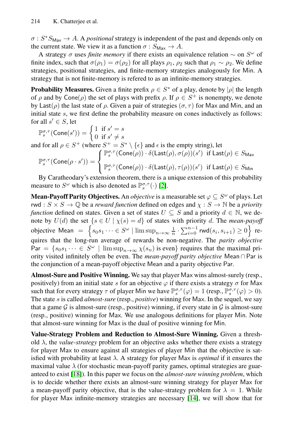$\sigma$ :  $S^*S_{\text{Max}} \to A$ . A *positional* strategy is independent of the past and depends only on the current state. We view it as a function  $\sigma : S_{\text{Max}} \to A$ .

A strategy  $\sigma$  uses *finite memory* if there exists an equivalence relation  $\sim$  on  $S^{\omega}$  of finite index, such that  $\sigma(\rho_1) = \sigma(\rho_2)$  for all plays  $\rho_1$ ,  $\rho_2$  such that  $\rho_1 \sim \rho_2$ . We define strategies, positional strategies, and finite-memory strategies analogously for Min. A strategy that is not finite-memory is refered to as an infinite-memory strategies.

**Probability Measures.** Given a finite prefix  $\rho \in S^*$  of a play, denote by  $|\rho|$  the length of  $\rho$  and by Cone( $\rho$ ) the set of plays with prefix  $\rho$ . If  $\rho \in S^+$  is nonempty, we denote by Last( $\rho$ ) the last state of  $\rho$ . Given a pair of strategies ( $\sigma$ ,  $\tau$ ) for Max and Min, and an initial state  $s$ , we first define the probability measure on cones inductively as follows: for all  $s' \in S$ , let

$$
\mathbb{P}_{s}^{\sigma,\tau}(\mathsf{Cone}(s'))=\left\{\begin{matrix}1\ \ \text{if}\ s'=s\\ 0\ \ \text{if}\ s'\neq s\end{matrix}\right.
$$

and for all  $\rho \in S^+$  (where  $S^+ = S^* \setminus {\{\epsilon\}}$  and  $\epsilon$  is the empty string), let  $\sqrt{ }$  $\overline{J}$  $\mathbb{P}_{s}^{\sigma,\tau}(\mathsf{Cone}(\rho)) \cdot \delta(\mathsf{Last}(\rho), \sigma(\rho))(s') \text{ if } \mathsf{Last}(\rho) \in S_{\mathsf{Max}}$ 

$$
\mathbb{P}_{s}^{\sigma,\tau}(\text{Cone}(\rho \cdot s')) = \begin{cases} \mathbb{P}_{s}^{\sigma,\tau}(\text{Cone}(\rho)) \cdot \delta(\text{Last}(\rho), \tau(\rho))(s') & \text{if } \text{Last}(\rho) \in S_{\text{Min}} \end{cases}
$$

By Caratheodary's extension theorem, there is a unique extension of this probability measure to  $S^{\omega}$  which is also denoted as  $\mathbb{P}_{s}^{\sigma,\tau}(\cdot)$  [2].

**Mean-Payoff Parity Objectives.** An *objective* is a measurable set  $\varphi \subseteq S^{\omega}$  of plays. Let rwd :  $S \times S \to \mathbb{Q}$  be a *reward function* defined on edges and  $\chi : S \to \mathbb{N}$  be a *priority function* defined on states. Given a set of states  $U \subseteq S$  and a priority  $d \in \mathbb{N}$ , we denote by  $U(d)$  the set  $\{s \in U \mid \chi(s) = d\}$  of states with priority d. The *mean-payoff* objective Mean  $= \left\{ s_0s_1 \cdots \in S^\omega \mid \limsup_{n \to \infty} \frac{1}{n} \cdot \sum_{i=0}^{n-1} \textsf{rwd}(s_i,s_{i+1}) \geq 0 \right\}$  requires that the long-run average of rewards be non-negative. The *parity objective*  $\text{Par} = \{s_0s_1 \cdots \in S^{\omega} \mid \limsup_{n \to \infty} \chi(s_n) \text{ is even} \}$  requires that the maximal priority visited infinitely often be even. The *mean-payoff parity objective* Mean∩Par is the conjunction of a mean-payoff objective Mean and a parity objective Par.

**Almost-Sure and Positive Winning.** We say that player Max wins almost-surely (resp., positively) from an initial state s for an objective  $\varphi$  if there exists a strategy  $\sigma$  for Max such that for every strategy  $\tau$  of player Min we have  $\mathbb{P}_{s}^{\sigma,\tau}(\varphi)=1$  (resp.,  $\mathbb{P}_{s}^{\sigma,\tau}(\varphi)>0$ ). The state s is called *almost-sure* (resp., *positive*) winning for Max. In the sequel, we say that a game  $G$  is almost-sure (resp., positive) winning, if every state in  $G$  is almost-sure (resp., positive) winning for Max. We use analogous definitions for player Min. Note that almost-sure winning for Max is the dual of positive winning for Min.

**Value-Strategy Problem and Reducti[on](#page-14-2) to Almost-Sure Winning.** Given a threshold  $\lambda$ , the *value-strategy* problem for an objective asks whether there exists a strategy for player Max to ensure against all strategies of player Min that the objective is satisfied with probability at least λ. A strategy for player Max is *optimal* if it ensures the maximal value  $\lambda$  (for stochastic mean-payoff parity games, optimal strategies are guaranteed to exist [18]). In this paper we focus on the *almost-sure winning problem*, which is to decide whether there exists an almost-sure winning strategy for player Max for a mean-payoff parity objective, that is the value-strategy problem for  $\lambda = 1$ . While for player Max infinite-memory strategies are necessary [14], we will show that for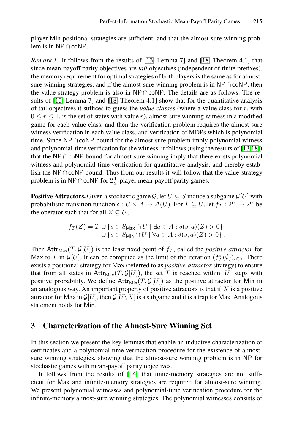<span id="page-5-0"></span>player M[in](#page-14-11) positional strategies are sufficient, and that the almost-sure winning problem is in NP∩coNP.

*Remark 1.* It follows from the results of [13, Lemma 7] and [18, Theorem 4.1] that since mean-payoff parity objectives are *tail* objectives (independent of finite prefixes), the memory requirement for optimal strategies of both players is the same as for almostsure winning strategies, and if the almost-sure winning pro[ble](#page-14-12)[m is](#page-14-11) in  $NP \cap coNP$ , then the value-strategy problem is also in NP ∩coNP. The details are as follows: The results of [13, Lemma 7] and [18, Theorem 4.1] show that for the quantitative analysis of tail objectives it suffices to guess the *value classes* (where a value class for r, with  $0 \le r \le 1$ , is the set of states with value r), almost-sure winning witness in a modified game for each value class, and then the verification problem requires the almost-sure witness verification in each value class, and verification of MDPs which is polynomial time. Since  $NP \cap coNP$  bound for the almost-sure problem imply polynomial witness and polynomial-time verification for the witness, it follows (using the results of [13,18]) that the NP ∩ coNP bound for almost-sure winning imply that there exists polynomial witness and polynomial-time verification for quantitative analysis, and thereby establish the NP ∩coNP bound. Thus from our results it will follow that the value-strategy problem is in NP∩coNP for  $2\frac{1}{2}$ -player mean-payoff parity games.

**Positive Attractors.** Given a stochastic game  $G$ , let  $U \subseteq S$  induce a subgame  $G[U]$  with probabilistic transition function  $\delta: U \times A \to \Delta(U)$ . For  $T \subseteq U$ , let  $f_T : 2^U \to 2^U$  be the operator such that for all  $Z \subseteq U$ ,

$$
f_T(Z) = T \cup \{ s \in S_{\text{Max}} \cap U \mid \exists a \in A : \delta(s, a)(Z) > 0 \} \\ \cup \{ s \in S_{\text{Min}} \cap U \mid \forall a \in A : \delta(s, a)(Z) > 0 \}.
$$

Then Attr<sub>Max</sub> $(T, \mathcal{G}[U])$  is the least fixed point of  $f_T$ , called the *positive attractor* for Max to T in  $\mathcal{G}[U]$ . It can be computed as the limit of the iteration  $(f_T^i(\emptyset))_{i\in\mathbb{N}}$ . There exists a positional strategy for Max (referred to as *positive-attractor* strategy) to ensure that from all states in Attr<sub>Max</sub> $(T, \mathcal{G}[U])$ , the set T is reached within |U| steps with positive probability. We define  $\text{Attr}_{\text{Min}}(T, \mathcal{G}[U])$  as the positive attractor for Min in an analogous way. An important property of positive attractors is that if  $X$  is a positive attractor for Max in  $G[U]$ , then  $G[U\setminus X]$  is a subgame and it is a trap for Max. Analogous statement holds for Min.

### **3 Characterization of the Almost-Sure Winning Set**

In this section we present the key lemmas that enable an inductive characterization of certificates and a polynomial-time verification procedure for the existence of almostsure winning strategies, showing that the almost-sure winning problem is in NP for stochastic games with mean-payoff parity objectives.

It follows from the results of [14] that finite-memory strategies are not sufficient for Max and infinite-memory strategies are required for almost-sure winning. We present polynomial witnesses and polynomial-time verification procedure for the infinite-memory almost-sure winning strategies. The polynomial witnesses consists of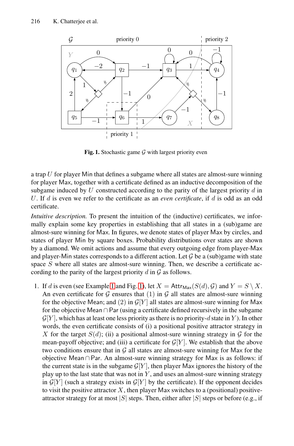<span id="page-6-0"></span>

**Fig. 1.** Stochastic game  $G$  with largest priority even

a trap  $U$  for player Min that defines a subgame where all states are almost-sure winning for player Max, together with a certificate defined as an inductive decomposition of the subgame induced by  $U$  constructed according to the parity of the largest priority  $d$  in U. If d is even we refer to the certificate as an *even certificate*, if d is odd as an odd certificate.

*Intuitive description.* To present the intuition of the (inductive) certificates, we informally ex[pla](#page-7-0)in some [ke](#page-6-0)y properties in establishing that all states in a (sub)game are almost-sure winning for Max. In figures, we denote states of player Max by circles, and states of player Min by square boxes. Probability distributions over states are shown by a diamond. We omit actions and assume that every outgoing edge from player-Max and player-Min states corresponds to a different action. Let  $\mathcal G$  be a (sub)game with state space  $S$  where all states are almost-sure winning. Then, we describe a certificate according to the parity of the largest priority  $d$  in  $\mathcal G$  as follows.

1. If d is even (see Example 1 and Fig. 1), let  $X = \text{Attr}_{\text{Max}}(S(d), \mathcal{G})$  and  $Y = S \setminus X$ . An even certificate for  $G$  ensures that (1) in  $G$  all states are almost-sure winning for the objective Mean; and (2) in  $\mathcal{G}[Y]$  all states are almost-sure winning for Max for the objective Mean  $\cap$  Par (using a certificate defined recursively in the subgame  $\mathcal{G}[Y]$ , which has at least one less priority as there is no priority-d state in Y). In other words, the even certificate consists of (i) a positional positive attractor strategy in X for the target  $S(d)$ ; (ii) a positional almost-sure winning strategy in  $G$  for the mean-payoff objective; and (iii) a certificate for  $\mathcal{G}[Y]$ . We establish that the above two conditions ensure that in  $G$  all states are almost-sure winning for Max for the objective Mean∩Par. An almost-sure winning strategy for Max is as follows: if the current state is in the subgame  $\mathcal{G}[Y]$ , then player Max ignores the history of the play up to the last state that was not in  $Y$ , and uses an almost-sure winning strategy in  $\mathcal{G}[Y]$  (such a strategy exists in  $\mathcal{G}[Y]$  by the certificate). If the opponent decides to visit the positive attractor  $X$ , then player Max switches to a (positional) positiveattractor strategy for at most |S| steps. Then, either after |S| steps or before (e.g., if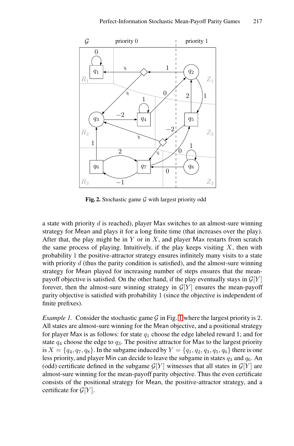<span id="page-7-1"></span>

#### Perfect-Information Stochastic Mean-Payoff Parity Games 217

**Fig. 2.** Stochastic game G with largest priority odd

<span id="page-7-0"></span>a state with priority  $d$  is reached), player Max switches to an almost-sure winning strategy for Mean and plays it for a long finite time (that increases over the play). After that, the play might be in  $Y$  or in  $X$ , and player Max restarts from scratch the same process of playing. Intuitively, if the play keeps visiting  $X$ , then with probability 1 the positive-attra[cto](#page-6-0)r strategy ensures infinitely many visits to a state with priority  $d$  (thus the parity condition is satisfied), and the almost-sure winning strategy for Mean played for increasing number of steps ensures that the meanpayoff objective is satisfied. On the other hand, if the play eventually stays in  $\mathcal{G}[Y]$ forever, then the almost-sure winning strategy in  $\mathcal{G}[Y]$  ensures the mean-payoff parity objective is satisfied with probability 1 (since the objective is independent of finite prefixes).

*Example 1.* Consider the stochastic game G in Fig. 1 where the largest priority is 2. All states are almost-sure winning for the Mean objective, and a positional strategy for player Max is as follows: for state  $q_1$  choose the edge labeled reward 1; and for state  $q_4$  choose the edge to  $q_3$ . The positive attractor for Max to the largest priority is  $X = \{q_4, q_7, q_8\}$ . In the subgame induced by  $Y = \{q_1, q_2, q_3, q_5, q_6\}$  there is one less priority, and player Min can decide to leave the subgame in states  $q_3$  and  $q_6$ . An (odd) certificate defined in the subgame  $\mathcal{G}[Y]$  witnesses that all states in  $\mathcal{G}[Y]$  are almost-sure winning for the mean-payoff parity objective. Thus the even certificate consists of the positional strategy for Mean, the positive-attractor strategy, and a certificate for  $\mathcal{G}[Y]$ .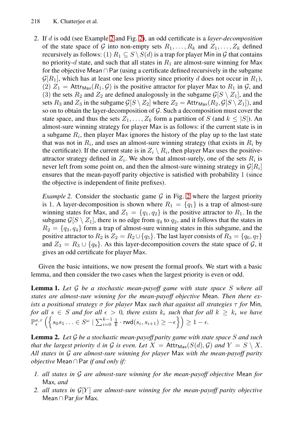2. If d is odd (see Example 2 and Fig. 2), an odd certificate is a *layer-decomposition* of the state space of G into non-empty sets  $R_1, \ldots, R_k$  and  $Z_1, \ldots, Z_k$  defined recursively as follows: (1)  $R_1 \subseteq S \setminus S(d)$  is a trap for player Min in G that contains no priority-d state, and such that all states in  $R_1$  are almost-sure winning for Max for the objective Mean ∩Par (using a certificate defined recursively in the subgame  $\mathcal{G}[R_1]$ , which has at least one less priority since priority d does not occur in  $R_1$ ), (2)  $Z_1 = \text{Attr}_{\text{Max}}(R_1, \mathcal{G})$  is the positive attractor for player Max to  $R_1$  in  $\mathcal{G}$ , and (3) the sets  $R_2$  and  $Z_2$  are defined analogously in the subgame  $\mathcal{G}[S \setminus Z_1]$ , and the sets  $R_3$  and  $Z_3$  in the subgame  $\mathcal{G}[S \setminus Z_2]$  where  $Z_2 = \text{Attr}_{\text{Max}}(R_2, \mathcal{G}[S \setminus Z_1])$ , and so on to obtain the layer-decomposition of  $G$ . Such a decomposition must cover the state space, and thus the sets  $Z_1, \ldots, Z_k$  form a partition of S (and  $k \leq |S|$ ). An almost-sure winning strategy for player Max is as follows: if the current state is in a subgame  $R_i$ , then player Max i[gno](#page-7-1)res the history of the play up to the last state that was not in  $R_i$ , and uses an almost-sure winning strategy (that exists in  $R_i$  by the certificate). If the current state is in  $Z_i \setminus R_i$ , then player Max uses the positiveattractor strategy defined in  $Z_i$ . We show that almost-surely, one of the sets  $R_i$  is never left from some point on, and then the almost-sure winning strategy in  $\mathcal{G}[R_i]$ ensures that the mean-payoff parity objective is satisfied with probability 1 (since the objective is independent of finite prefixes).

<span id="page-8-1"></span><span id="page-8-0"></span>*Example 2.* Consider the stochastic game  $G$  in Fig. 2 where the largest priority is 1. A layer-decomposition is shown where  $R_1 = \{q_1\}$  is a trap of almost-sure winning states for Max, and  $Z_1 = \{q_1, q_2\}$  is the positive attractor to  $R_1$ . In the subgame  $G[S \setminus Z_1]$ , there is no edge from  $q_4$  to  $q_2$ , and it follows that the states in  $R_2 = \{q_3, q_4\}$  form a trap of almost-sure winning states in this subgame, and the positive attractor to  $R_2$  is  $Z_2 = R_2 \cup \{q_5\}$ . The last layer consists of  $R_3 = \{q_6, q_7\}$ and  $Z_3 = R_3 \cup \{q_8\}$ . As this layer-decomposition covers the state space of  $\mathcal{G}$ , it gives an odd certificate for player Max.

Given the basic intuitions, we now present the formal proofs. We start with a basic lemma, and then consider the two cases when the largest priority is even or odd.

**Lemma 1.** *Let* <sup>G</sup> *be a stochastic mean-payoff game with state space* <sup>S</sup> *where all states are almost-sure winning for the mean-payoff objective* Mean*. Then there exists a positional strategy* σ *for player* Max *such that against all strategies* τ *for* Min*, for all*  $s \in S$  *and for all*  $\epsilon > 0$ *, there exists*  $k_{\epsilon}$  *such that for all*  $k \geq k_{\epsilon}$  *we have*  $\mathbb{P}_{s}^{\sigma,\tau}\left(\left\{s_0s_1\ldots \in S^\omega\mid \sum_{i=0}^{k-1}\frac{1}{k}\cdot \mathsf{rwd}(s_i,s_{i+1})\geq -\epsilon \right\}\right)\geq 1-\epsilon.$ 

**Lemma 2.** *Let* <sup>G</sup> *be a stochastic mean-payoff parity game with state space* <sup>S</sup> *and such that the largest priority* d in G is even. Let  $X = \text{Attr}_{\text{Max}}(S(d), \mathcal{G})$  and  $Y = S \setminus X$ . *All states in* G *are almost-sure winning for player* Max *with the mean-payoff parity objective* Mean∩Par *if and only if:*

- *1. all states in* G *are almost-sure winning for the mean-payoff objective* Mean *for* Max*, and*
- *2. all states in*  $\mathcal{G}[Y]$  *are almost-sure winning for the mean-payoff parity objective* Mean∩Par *for* Max*.*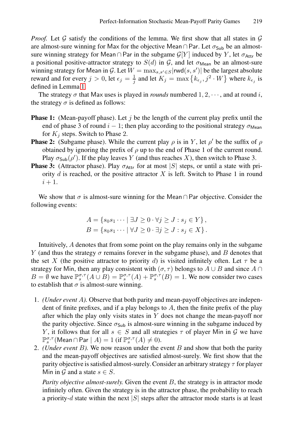*Proof.* Let  $G$  satisfy the conditions of the lemma. We first show that all states in  $G$ are almost-sure winning for Max for the objective Mean∩Par. Let  $\sigma_{\text{Sub}}$  be an almostsure winning strategy for Mean∩Par in the subgame  $\mathcal{G}[Y]$  induced by Y, let  $\sigma_{\text{Attr}}$  be a positional positive-attractor strategy to  $S(d)$  in  $G$ , and let  $\sigma_{Mean}$  be an almost-sure winning strategy for Mean in G. Let  $W = \max_{s,s' \in S} | \text{rwd}(s, s') |$  be the largest absolute reward and for every  $j > 0$ , let  $\epsilon_j = \frac{1}{j}$  and let  $K_j = \max\left\{k_{\epsilon_j}, j^2 \cdot W\right\}$  where  $k_{\epsilon_j}$  is defined in Lemma 1.

The strategy  $\sigma$  that Max uses is played in *rounds* numbered 1, 2,  $\dots$ , and at round i, the strategy  $\sigma$  is defined as follows:

- **Phase 1:** (Mean-payoff phase). Let j be the length of the current play prefix until the end of phase 3 of round  $i - 1$ ; then play according to the positional strategy  $\sigma_{\text{Mean}}$ for  $K_i$  steps. Switch to Phase 2.
- **Phase 2:** (Subgame phase). While the current play  $\rho$  is in Y, let  $\rho'$  be the suffix of  $\rho$ obtained by ignoring the prefix of  $\rho$  up to the end of Phase 1 of the current round. Play  $\sigma_{\text{Sub}}(\rho')$ . If the play leaves Y (and thus reaches X), then switch to Phase 3.
- **Phase 3:** (Attractor phase). Play  $\sigma_{\text{Attr}}$  for at most |S| steps, or until a state with priority  $d$  is reached, or the positive attractor  $X$  is left. Switch to Phase 1 in round  $i+1$ .

We show that  $\sigma$  is almost-sure winning for the Mean ∩Par objective. Consider the following events:

$$
A = \{s_0s_1 \cdots \mid \exists J \ge 0 \cdot \forall j \ge J : s_j \in Y\},\
$$
  

$$
B = \{s_0s_1 \cdots \mid \forall J \ge 0 \cdot \exists j \ge J : s_j \in X\}.
$$

Intuitively, A denotes that from some point on the play remains only in the subgame Y (and thus the strategy  $\sigma$  remains forever in the subgame phase), and B denotes that the set X (the positive attractor to priority d) is visited infinitely often. Let  $\tau$  be a strategy for Min, then any play consistent with  $(\sigma, \tau)$  belongs to  $A \cup B$  and since  $A \cap$  $B = \emptyset$  we have  $\mathbb{P}_{s}^{\sigma,\tau}(A \cup B) = \mathbb{P}_{s}^{\sigma,\tau}(A) + \mathbb{P}_{s}^{\sigma,\tau}(B) = 1$ . We now consider two cases to establish that  $\sigma$  is almost-sure winning.

- 1. *(Under event* A*).* Observe that both parity and mean-payoff objectives are independent of finite prefixes, and if a play belongs to A, then the finite prefix of the play after which the play only visits states in  $Y$  does not change the mean-payoff nor the parity objective. Since  $\sigma_{\text{Sub}}$  is almost-sure winning in the subgame induced by Y, it follows that for all  $s \in S$  and all strategies  $\tau$  of player Min in  $\mathcal G$  we have  $\mathbb{P}_s^{\sigma,\tau}(\mathsf{Mean} \cap \mathsf{Par} \mid A) = 1$  (if  $\mathbb{P}_s^{\sigma,\tau}(A) \neq 0$ ).
- 2. *(Under event* B*).* We now reason under the event B and show that both the parity and the mean-payoff objectives are satisfied almost-surely. We first show that the parity objective is satisfied almost-surely. Consider an arbitrary strategy  $\tau$  for player Min in G and a state  $s \in S$ .

*Parity objective almost-surely.* Given the event B, the strategy is in attractor mode infinitely often. Given the strategy is in the attractor phase, the probability to reach a priority-d state within the next  $|S|$  steps after the attractor mode starts is at least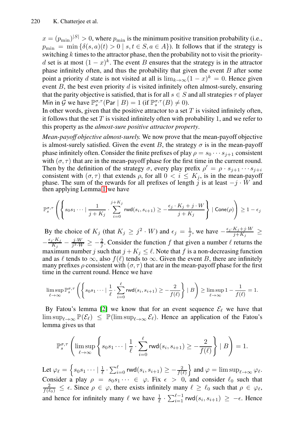$x = (p_{\min})^{|S|} > 0$ , where  $p_{\min}$  is the minimum positive transition probability (i.e.,  $p_{\min} = \min \{ \delta(s, a)(t) > 0 \mid s, t \in S, a \in A \}$ . It follows that if the strategy is switching  $k$  times to the attractor phase, then the probability not to visit the priorityd set is at most  $(1-x)^k$ . The event B ensures that the strategy is in the attractor phase infinitely often, and thus the probability that given the event  $B$  after some point a priority d state is not visited at all is  $\lim_{k\to\infty} (1-x)^k = 0$ . Hence given event  $B$ , the best even priority  $d$  is visited infinitely often almost-surely, ensuring that the parity objective is satisfied, that is for all  $s \in S$  and all strategies  $\tau$  of player Min in  $\mathcal G$  we have  $\mathbb P_s^{\sigma,\tau}(\text{Par} \mid B) = 1$  (if  $\mathbb P_s^{\sigma,\tau}(B) \neq 0$ ).

In other words, given that the positive attractor to a set  $T$  is visited infinitely often, it follows that the set T is visited infinitely often with probability 1, and we refer to thi[s p](#page-8-0)roperty as the *almost-sure positive attractor property*.

*Mean-payoff objective almost-surely.* We now prove that the mean-payoff objective is almost-surely satisfied. Given the event B, the strategy  $\sigma$  is in the mean-payoff phase infinitely often. Consider the finite prefixes of play  $\rho = s_0 \cdots s_{j+1}$  consistent with  $(\sigma, \tau)$  that are in the mean-payoff phase for the first time in the current round. Then by the definition of the strategy  $\sigma$ , every play prefix  $\rho' = \rho \cdot s_{j+1} \cdots s_{j+i}$ consistent with  $(\sigma, \tau)$  that extends  $\rho$ , for all  $0 < i \leq K_j$ , is in the mean-payoff phase. The sum of the rewards for all prefixes of length j is at least  $-j \cdot W$  and then applying Lemma 1 we have

$$
\mathbb{P}_{s}^{\sigma,\tau}\left(\left\{s_0s_1\cdots\mid \frac{1}{j+K_j}\cdot \sum_{i=0}^{j+K_j} \text{rwd}(s_i,s_{i+1})\geq -\frac{\epsilon_j\cdot K_j+j\cdot W}{j+K_j}\right\}\mid \text{Cone}(\rho)\right)\geq 1-\epsilon_j
$$

By the choice of  $K_j$  (that  $K_j \geq j^2 \cdot W$ ) and  $\epsilon_j = \frac{1}{j}$ , we have  $-\frac{\epsilon_j \cdot K_j + j \cdot W}{j + K_j} \geq$ 

 $-\frac{\epsilon_j \cdot K_j}{K_j} - \frac{j \cdot W}{j^2 \cdot W} \geq -\frac{2}{j}$ . Consider the function f that given a number  $\ell$  returns the m[axi](#page-14-10)mum number j such that  $j + K_j \leq \ell$ . Note that f is a non-decreasing function and as  $\ell$  tends to  $\infty$ , also  $f(\ell)$  tends to  $\infty$ . Given the event B, there are infinitely many prefixes  $\rho$  consistent with  $(\sigma, \tau)$  that are in the mean-payoff phase for the first time in the current round. Hence we have

$$
\limsup_{\ell \to \infty} \mathbb{P}_s^{\sigma,\tau} \left( \left\{ s_0s_1 \cdots \mid \frac{1}{\ell} \cdot \sum_{i=0}^\ell \text{rwd}(s_i,s_{i+1}) \geq -\frac{2}{f(\ell)} \right\} \mid B \right) \geq \limsup_{\ell \to \infty} 1 - \frac{1}{f(\ell)} = 1.
$$

By Fatou's lemma [2] we know that for an event sequence  $\mathcal{E}_{\ell}$  we have that  $\limsup_{\ell \to \infty} \mathbb{P}(\mathcal{E}_{\ell}) \leq \mathbb{P}(\limsup_{\ell \to \infty} \mathcal{E}_{\ell})$ . Hence an application of the Fatou's lemma gives us that

$$
\mathbb{P}_{s}^{\sigma,\tau}\left(\limsup_{\ell\to\infty}\left\{s_0s_1\cdots\mid \frac{1}{\ell}\cdot\sum_{i=0}^{\ell}\mathrm{rwd}(s_i,s_{i+1})\geq -\frac{2}{f(\ell)}\right\}\mid B\right)=1.
$$

Let  $\varphi_\ell = \left\{ s_0 s_1 \cdots \mid \frac{1}{\ell} \cdot \sum_{i=0}^\ell \mathsf{rwd}(s_i, s_{i+1}) \geq -\frac{2}{f(\ell)} \right\}$  and  $\varphi = \limsup_{\ell \to \infty} \varphi_\ell$ . Consider a play  $\rho = s_0 s_1 \cdots \in \varphi$ . Fix  $\epsilon > 0$ , and consider  $\ell_0$  such that  $\frac{2}{f(\ell_0)} \leq \epsilon$ . Since  $\rho \in \varphi$ , there exists infinitely many  $\ell \geq \ell_0$  such that  $\rho \in \varphi_\ell$ , and hence for infinitely many  $\ell$  we have  $\frac{1}{\ell} \cdot \sum_{i=1}^{\ell-1} \text{rwd}(s_i, s_{i+1}) \geq -\epsilon$ . Hence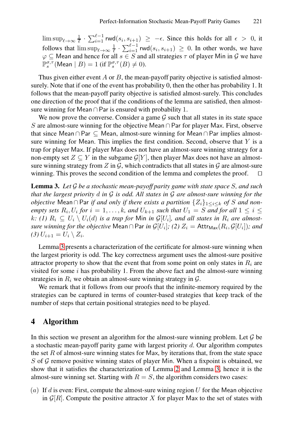$\limsup_{\ell\to\infty}\frac{1}{\ell}\cdot\sum_{i=1}^{\ell-1}$ rwd $(s_i,s_{i+1})\geq -\epsilon$ . Since this holds for all  $\epsilon>0$ , it follows that  $\limsup_{\ell \to \infty} \frac{1}{\ell} \cdot \sum_{i=1}^{\ell-1} \text{rwd}(s_i, s_{i+1}) \geq 0$ . In other words, we have  $\varphi \subseteq$  Mean and hence for all  $s \in S$  and all strategies  $\tau$  of player Min in  $\mathcal G$  we have  $\mathbb{P}_{s}^{\sigma,\tau}(\mathsf{Mean} \mid B) = 1 \text{ (if } \mathbb{P}_{s}^{\sigma,\tau}(B) \neq 0).$ 

<span id="page-11-0"></span>Thus given either event A or B, the mean-payoff parity objective is satisfied almostsurely. Note that if one of the event has probability 0, then the other has probability 1. It follows that the mean-payoff parity objective is satisfied almost-surely. This concludes one direction of the proof that if the conditions of the lemma are satisfied, then almostsure winning for Mean ∩ Par is ensured with probability 1.

We now prove the converse. Consider a game  $G$  such that all states in its state space S are almost-sure winning for the objective Mean  $\cap$  Par for player Max. First, observe that since Mean∩Par ⊂ Mean, almost-sure winning for Mean∩Par implies almostsure winning for Mean. This implies the first condition. Second, observe that  $Y$  is a trap for player Max. If player Max does not have an almost-sure winning strategy for a non-empty set  $Z \subseteq Y$  in the subgame  $\mathcal{G}[Y]$ , then player Max does not have an almostsure winning strategy from Z in  $\mathcal G$ , which contradicts that all states in  $\mathcal G$  are almost-sure winning. This proves the second condition of the lemma and completes the proof. winning. This proves the second condition of the lemma and completes the proof.

**Lemma 3.** *Let* <sup>G</sup> *be a stochastic mean-payoff parity game with state space* <sup>S</sup>*, and such that the largest priority* <sup>d</sup> *in* <sup>G</sup> *is odd. All states in* <sup>G</sup> *are almost-sure winning for the objective* Mean∩Par *if and only if there exists a partition*  $\{Z_i\}_{1 \le i \le k}$  *of* S and non*empty sets*  $R_i$ ,  $U_i$  *for*  $i = 1, ..., k$ *, and*  $U_{k+1}$  *such that*  $U_1 = S$  *and for all*  $1 \leq i \leq$  $k: (1)$   $R_i$  ⊆  $U_i \setminus U_i$  *(d) is a trap for* Min *in*  $G[U_i]$ *, and all states in*  $R_i$  *are almostsure winning for the objective* Mean∩Par *in*  $\mathcal{G}[U_i]$ ; (2)  $Z_i =$  Attr<sub>Max</sub>( $R_i$ ,  $\mathcal{G}[U_i]$ ); and *(3)*  $U_{i+1} = U_i \setminus Z_i$ .

Lemma 3 presents a characterization of the certificate for almost-sure winning when the largest priority is odd. The key correctness argument uses the almost-sure positive attractor property to show that the event that from some point on only states in  $R_i$  are visited for some  $i$  has probability 1. From the above fact and the almost-sure winning strategies in  $R_i$  we obtain an almost-sure winning strategy in  $\mathcal{G}$ .

We remark that it follows from our proofs that the infinite-memory required by the strategies can be captured in terms of counter-based strategies that keep track of the number of steps that certain positi[on](#page-8-1)al strategies [nee](#page-11-0)d to be played.

### **4 Algorithm**

In this section we present an algorithm for the almost-sure winning problem. Let  $\mathcal G$  be a stochastic mean-payoff parity game with largest priority  $d$ . Our algorithm computes the set R of almost-sure winning states for Max, by iterations that, from the state space S of G remove positive winning states of player Min. When a fixpoint is obtained, we show that it satisfies the characterization of Lemma 2 and Lemma 3, hence it is the almost-sure winning set. Starting with  $R = S$ , the algorithm considers two cases:

(a) If d is even: First, compute the almost-sure wining region  $U$  for the Mean objective in  $\mathcal{G}[R]$ . Compute the positive attractor X for player Max to the set of states with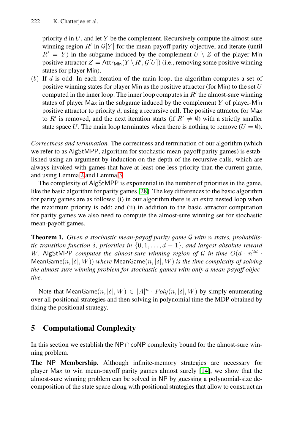priority  $d$  in  $U$ , and let  $Y$  be the complement. Recursively compute the almost-sure winning region  $R'$  in  $\mathcal{G}[Y]$  for the mean-payoff parity objective, and iterate (until  $R' = Y$ ) in the subgame induced by the complement  $U \setminus Z$  of the player-Min positive attractor  $Z = \text{Attr}_{\text{Min}}(Y \setminus R', \mathcal{G}[U])$  (i.e., removing some positive winning states for player Min).

(b) If d is odd: In each iteration of the main loop, the algorithm computes a set of positive winning states for player Min as the positive attractor (for Min) to the set  $U$ computed in the inner loop. The inner loop computes in  $R'$  the almost-sure winning states of player Max in the subgame induced by the complement  $Y$  of player-Min positive [att](#page-11-0)ractor to priority  $d$ , using a recursive call. The positive attractor for Max to R' is removed, and the next iteration starts (if  $R' \neq \emptyset$ ) with a strictly smaller state space U. T[he m](#page-15-5)ain loop terminates when there is nothing to remove  $(U = \emptyset)$ .

*Correctness and termination.* The correctness and termination of our algorithm (which we refer to as AlgStMPP, algorithm for stochastic mean-payoff parity games) is established using an argument by induction on the depth of the recursive calls, which are always invoked with games that have at least one less priority than the current game, and using Lemma 2 and Lemma 3.

The complexity of AlgStMPP is exponential in the number of priorities in the game, like the basic algorithm for parity games [28]. The key differences to the basic algorithm for parity games are as follows: (i) in our algorithm there is an extra nested loop when the maximum priority is odd; and (ii) in addition to the basic attractor computation for parity games we also need to compute the almost-sure winning set for stochastic mean-payoff games.

**Theorem 1.** *Given a stochastic mean-payoff parity game* <sup>G</sup> *with* <sup>n</sup> *states, probabilistic transition function*  $\delta$ *, priorities in*  $\{0, 1, \ldots, d - 1\}$ *, and largest absolute reward* W, AlgStMPP *computes the almost-sure winning region of G in time*  $O(d \cdot n^{2d} \cdot$ MeanGame(n, <sup>|</sup>δ|, W)) *where* MeanGame(n, <sup>|</sup>δ|, W) *is the time complexity of solving the almost-sure winning problem for stochastic games with only a mean-payoff objective.*

Note that  $\textsf{MeanGame}(n, |\delta|, W) \in |A|^n \cdot Poly(n, |\delta|, W)$  by simply enumerating over all positional strategies and then solving in polynomial time the MDP obtained by fixing the positional strategy.

### **5 Computational Complexity**

In this section we establish the NP∩coNP complexity bound for the almost-sure winning problem.

**The** NP **Membership.** Although infinite-memory strategies are necessary for player Max to win mean-payoff parity games almost surely [14], we show that the almost-sure winning problem can be solved in NP by guessing a polynomial-size decomposition of the state space along with positional strategies that allow to construct an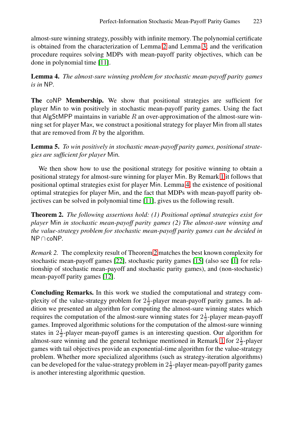<span id="page-13-0"></span>almost-sure winning strategy, possibly with infinite memory. The polynomial certificate is obtained from the characterization of Lemma 2 and Lemma 3; and the verification procedure requires solving MDPs with mean-payoff parity objectives, which can be done in polynomial time [11].

<span id="page-13-1"></span>**Lemma 4.** *The almost-sure winning problem for stochastic mean-payoff parity games is in* NP*.*

**The** coNP **Membership.** We show that positional strategies are sufficient for player Min to win positively in stochastic mean-payoff parity games. Using the fact that AlgStMPP maintains in variable  $R$  an over-ap[pro](#page-5-0)ximation of the almost-sure winning set for player Max, we construct [a p](#page-13-0)ositional strategy for player Min from all states that are removed from  $R$  by the algorithm.

**Lemma 5.** *To win positively in stochastic mean-payoff parity games, positional strategies are sufficient for player* Min*.*

We then show how to use the positional strategy for positive winning to obtain a positional strategy for almost-sure winning for player Min. By Remark 1 it follows that positional optimal strategies exist for player Min. Lemma 4, the existence of positional optimal strategies for pla[yer](#page-13-1) Min, and the fact that MDPs with mean-payoff parity objectives can [be](#page-15-6) solved in polynomial time [\[11](#page-14-13)], gives us [th](#page-14-14)e following result.

**Theore[m 2](#page-14-15).** *The following assertions hold: (1) Positional optimal strategies exist for player* Min *in stochastic mean-payoff parity games (2) The almost-sure winning and the value-strategy problem for stochastic mean-payoff parity games can be decided in* NP ∩coNP*.*

*Remark 2.* The complexity result of Theorem 2 matches the best known complexity for stochastic mean-payoff games [22], stochastic parity games [15] (also see [1] for relationship of stochastic mean-payoff and stochastic parity games), and (non-stochastic) mean-payoff parity games [12].

**Concluding Remarks.** In this work we studied the computational and strategy complexity of the value-strategy problem for  $2\frac{1}{2}$ -player mean-payoff parity games. In addition we presented an algorithm for computing the almost-sure winning states which requires the computation of the almost-sure winning states for  $2\frac{1}{2}$ -player mean-payoff games. Improved algorithmic solutions for the computation of the almost-sure winning states in  $2\frac{1}{2}$ -player mean-payoff games is an interesting question. Our algorithm for almost-sure winning and the general technique mentioned in Remark 1 for  $2\frac{1}{2}$ -player games with tail objectives provide an exponential-time algorithm for the value-strategy problem. Whether more specialized algorithms (such as strategy-iteration algorithms) can be developed for the value-strategy problem in  $2\frac{1}{2}$ -player mean-payoff parity games is another interesting algorithmic question.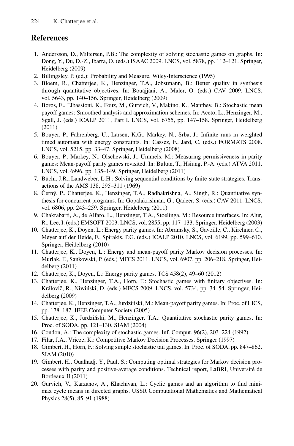## <span id="page-14-14"></span><span id="page-14-10"></span><span id="page-14-4"></span>**References**

- <span id="page-14-8"></span>1. Andersson, D., Miltersen, P.B.: The complexity of solving stochastic games on graphs. In: Dong, Y., Du, D.-Z., Ibarra, O. (eds.) ISAAC 2009. LNCS, vol. 5878, pp. 112–121. Springer, Heidelberg (2009)
- <span id="page-14-3"></span>2. Billingsley, P. (ed.): Probability and Measure. Wiley-Interscience (1995)
- 3. Bloem, R., Chatterjee, K., Henzinger, T.A., Jobstmann, B.: Better quality in synthesis through quantitative objectives. In: Bouajjani, A., Maler, O. (eds.) CAV 2009. LNCS, vol. 5643, pp. 140–156. Springer, Heidelberg (2009)
- <span id="page-14-5"></span>4. Boros, E., Elbassioni, K., Fouz, M., Gurvich, V., Makino, K., Manthey, B.: Stochastic mean payoff games: Smoothed analysis and approximation schemes. In: Aceto, L., Henzinger, M., Sgall, J. (eds.) ICALP 2011, Part I. LNCS, vol. 6755, pp. 147–158. Springer, Heidelberg (2011)
- 5. Bouyer, P., Fahrenberg, U., Larsen, K.G., Markey, N., Srba, J.: Infinite runs in weighted timed automata with energy constraints. In: Cassez, F., Jard, C. (eds.) FORMATS 2008. LNCS, vol. 5215, pp. 33–47. Springer, Heidelberg (2008)
- <span id="page-14-1"></span>6. Bouyer, P., Markey, N., Olschewski, J., Ummels, M.: Measuring permissiveness in parity games: Mean-payoff parity games revisited. In: Bultan, T., Hsiung, P.-A. (eds.) ATVA 2011. LNCS, vol. 6996, pp. 135–149. Springer, Heidelberg (2011)
- <span id="page-14-7"></span>7. Büchi, J.R., Landweber, L.H.: Solving sequential conditions by finite-state strategies. Transactions of the AMS 138, 295–311 (1969)
- <span id="page-14-9"></span>8. Černý, P., Chatterjee, K., Henzinger, T.A., Radhakrishna, A., Singh, R.: Quantitative synthesis for concurrent programs. In: Gopalakrishnan, G., Qadeer, S. (eds.) CAV 2011. LNCS, vol. 6806, pp. 243–259. Springer, Heidelberg (2011)
- <span id="page-14-15"></span><span id="page-14-12"></span>9. Chakrabarti, A., de Alfaro, L., Henzinger, T.A., Stoelinga, M.: Resource interfaces. In: Alur, R., Lee, I. (eds.) EMSOFT 2003. LNCS, vol. 2855, pp. 117–133. Springer, Heidelberg (2003)
- 10. Chatterjee, K., Doyen, L.: Energy parity games. In: Abramsky, S., Gavoille, C., Kirchner, C., Meyer auf der Heide, F., Spirakis, P.G. (eds.) ICALP 2010. LNCS, vol. 6199, pp. 599–610. Springer, Heidelberg (2010)
- <span id="page-14-13"></span><span id="page-14-2"></span>11. Chatterjee, K., Doyen, L.: Energy and mean-payoff parity Markov decision processes. In: Murlak, F., Sankowski, P. (eds.) MFCS 2011. LNCS, vol. 6907, pp. 206–218. Springer, Heidelberg (2011)
- 12. Chatterjee, K., Doyen, L.: Energy parity games. TCS 458(2), 49–60 (2012)
- <span id="page-14-11"></span><span id="page-14-0"></span>13. Chatterjee, K., Henzinger, T.A., Horn, F.: Stochastic games with finitary objectives. In: Královič, R., Niwiński, D. (eds.) MFCS 2009. LNCS, vol. 5734, pp. 34–54. Springer, Heidelberg (2009)
- 14. Chatterjee, K., Henzinger, T.A., Jurdziński, M.: Mean-payoff parity games. In: Proc. of LICS, pp. 178–187. IEEE Computer Society (2005)
- <span id="page-14-6"></span>15. Chatterjee, K., Jurdziński, M., Henzinger, T.A.: Quantitative stochastic parity games. In: Proc. of SODA, pp. 121–130. SIAM (2004)
- 16. Condon, A.: The complexity of stochastic games. Inf. Comput. 96(2), 203–224 (1992)
- 17. Filar, J.A., Vrieze, K.: Competitive Markov Decision Processes. Springer (1997)
- 18. Gimbert, H., Horn, F.: Solving simple stochastic tail games. In: Proc. of SODA, pp. 847–862. SIAM (2010)
- 19. Gimbert, H., Oualhadj, Y., Paul, S.: Computing optimal strategies for Markov decision processes with parity and positive-average conditions. Technical report, LaBRI, Université de Bordeaux II (2011)
- 20. Gurvich, V., Karzanov, A., Khachivan, L.: Cyclic games and an algorithm to find minimax cycle means in directed graphs. USSR Computational Mathematics and Mathematical Physics 28(5), 85–91 (1988)